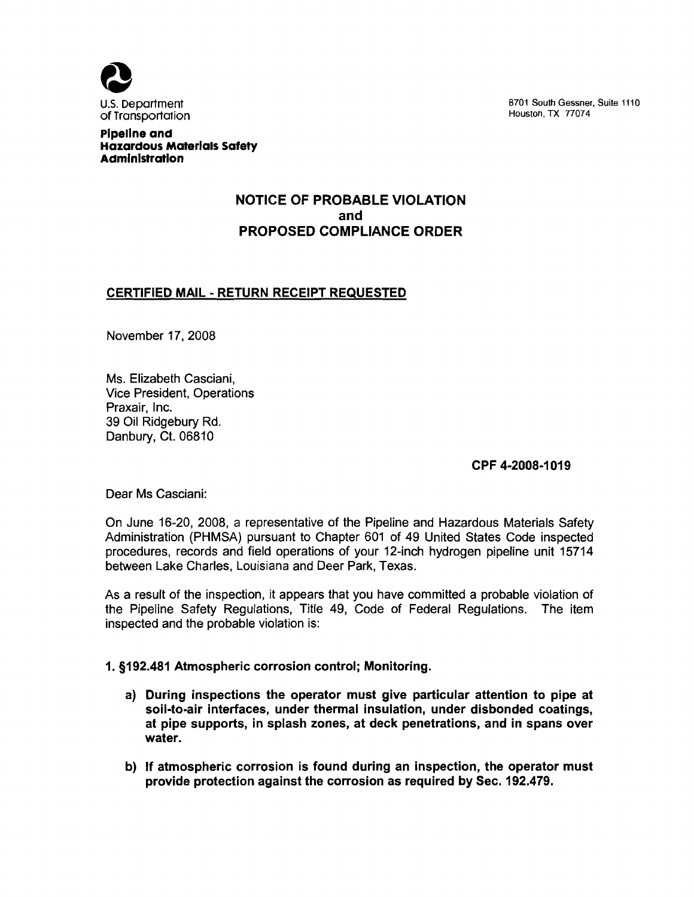

U.S. Department and the state of the state of the state of the STO1 South Gessner, Suite 1110<br>
Of Transportation

Pipeline and Hazardous Materials Safety Administration

# NOTICE OF PROBABLE VIOLATION and PROPOSED COMPLIANCE ORDER

## CERTIFIED MAIL - RETURN RECEIPT REQUESTED

November 17, 2008

Ms. Elizabeth Casciani, Vice President, Operations Praxair, Inc. 39 Oil Ridgebury Rd. Danbury, Ct. 06810

CPF 4-2008-1019

Dear Ms Casciani:

On June 16-20, 2008, a representative of the Pipeline and Hazardous Materials Safety Administration (PHMSA) pursuant to Chapter 601 of 49 United States Code inspected procedures, records and field operations of your 12-inch hydrogen pipeline unit 15714 between Lake Charles, Louisiana and Deer Park, Texas.

As a result of the inspection, it appears that you have committed a probable violation of the Pipeline Safety Regulations, Title 49, Code of Federal Regulations. The item inspected and the probable violation is:

### 1. §192.481 Atmospheric corrosion control; Monitoring.

- a) During inspections the operator must give particular attention to pipe at soil-to-air interfaces, under thermal insulation, under disbonded coatings, at pipe supports, in splash zones, at deck penetrations, and in spans over water.
- b) If atmospheric corrosion is found during an inspection, the operator must provide protection against the corrosion as required by Sec. 192.479.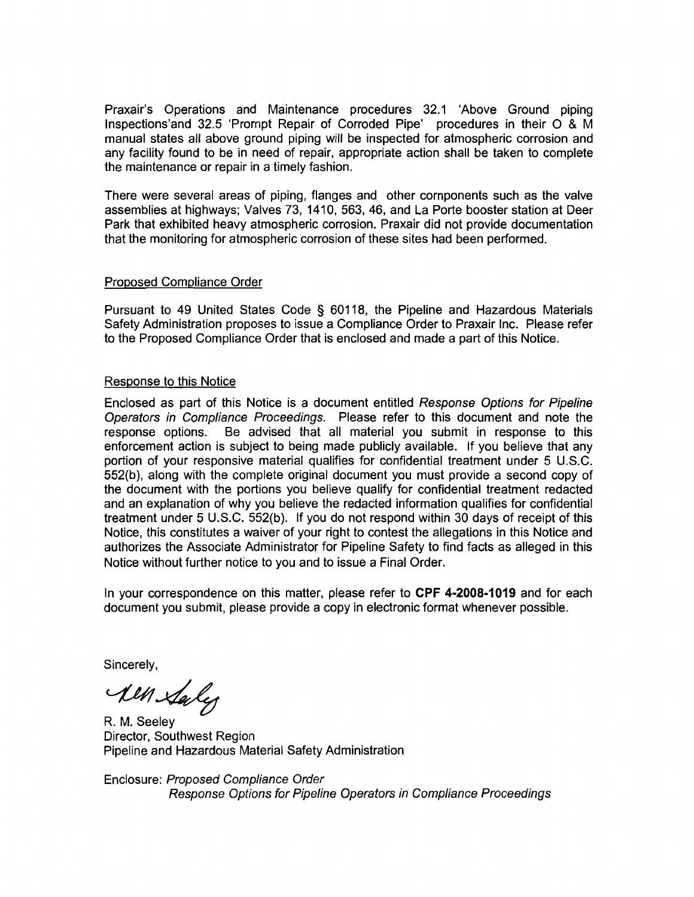Praxair's Operations and Maintenance procedures 32.1 'Above Ground piping lnspections'and 32.5 'Prompt Repair of Corroded Pipe' procedures in their 0 & M manual states all above ground piping will be inspected for atmospheric corrosion and any facility found to be in need of repair, appropriate action shall be taken to complete the maintenance or repair in a timely fashion.

There were several areas of piping, flanges and other components such as the valve assemblies at highways; Valves 73, 1410,563,46, and La Porte booster station at Deer Park that exhibited heavy atmospheric corrosion. Praxair did not provide documentation that the monitoring for atmospheric corrosion of these sites had been performed.

### Proposed Compliance Order

Pursuant to 49 United States Code § 60118, the Pipeline and Hazardous Materials Safety Administration proposes to issue a Compliance Order to Praxair Inc. Please refer to the Proposed Compliance Order that is enclosed and made a part of this Notice.

#### Response to this Notice

Enclosed as part of this Notice is a document entitled Response Options for Pipeline Operators in Compliance Proceedings. Please refer to this document and note the response options. Be advised that all material you submit in response to this enforcement action is subject to being made publicly available. If you believe that any portion of your responsive material qualifies for confidential treatment under 5 U.S.C. 552(b}, along with the complete original document you must provide a second copy of the document with the portions you believe qualify for confidential treatment redacted and an explanation of why you believe the redacted information qualifies for confidential treatment under 5 U.S.C. 552(b}. If you do not respond within 30 days of receipt of this Notice, this constitutes a waiver of your right to contest the allegations in this Notice and authorizes the Associate Administrator for Pipeline Safety to find facts as alleged in this Notice without further notice to you and to issue a Final Order.

In your correspondence on this matter, please refer to **CPF 4-2008-1019** and for each document you submit, please provide a copy in electronic format whenever possible.

Sincerely,

All Saly

R. M. Seeley Director, Southwest Region Pipeline and Hazardous Material Safety Administration

Enclosure: Proposed Compliance Order Response Options for Pipeline Operators in Compliance Proceedings